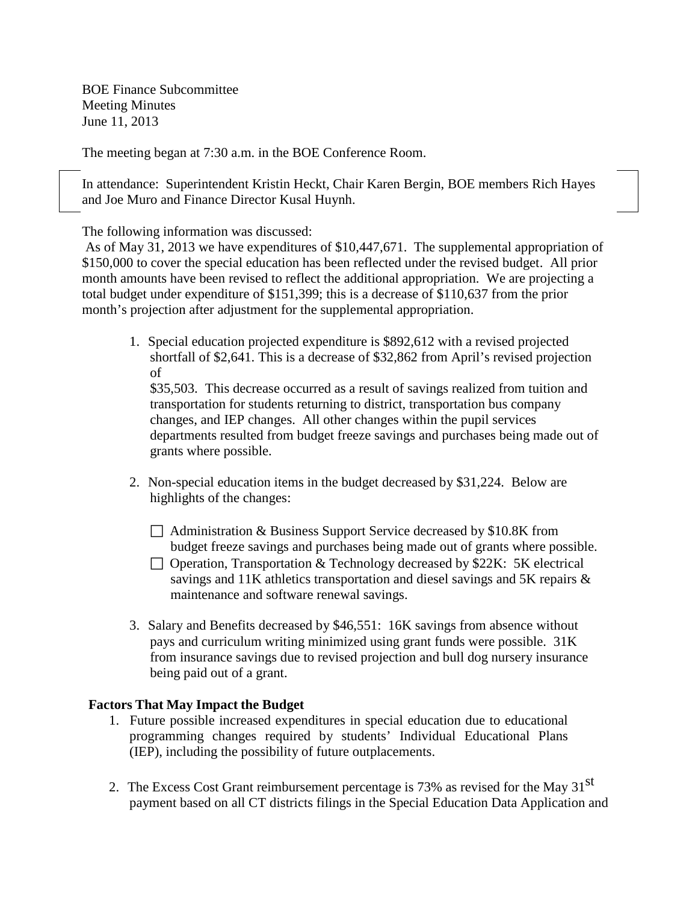BOE Finance Subcommittee Meeting Minutes June 11, 2013

The meeting began at 7:30 a.m. in the BOE Conference Room.

In attendance: Superintendent Kristin Heckt, Chair Karen Bergin, BOE members Rich Hayes and Joe Muro and Finance Director Kusal Huynh.

The following information was discussed:

As of May 31, 2013 we have expenditures of \$10,447,671. The supplemental appropriation of \$150,000 to cover the special education has been reflected under the revised budget. All prior month amounts have been revised to reflect the additional appropriation. We are projecting a total budget under expenditure of \$151,399; this is a decrease of \$110,637 from the prior month's projection after adjustment for the supplemental appropriation.

1. Special education projected expenditure is \$892,612 with a revised projected shortfall of \$2,641. This is a decrease of \$32,862 from April's revised projection of

\$35,503. This decrease occurred as a result of savings realized from tuition and transportation for students returning to district, transportation bus company changes, and IEP changes. All other changes within the pupil services departments resulted from budget freeze savings and purchases being made out of grants where possible.

- 2. Non-special education items in the budget decreased by \$31,224. Below are highlights of the changes:
	- □ Administration & Business Support Service decreased by \$10.8K from budget freeze savings and purchases being made out of grants where possible.
	- $\Box$  Operation, Transportation & Technology decreased by \$22K: 5K electrical savings and 11K athletics transportation and diesel savings and 5K repairs & maintenance and software renewal savings.
- 3. Salary and Benefits decreased by \$46,551: 16K savings from absence without pays and curriculum writing minimized using grant funds were possible. 31K from insurance savings due to revised projection and bull dog nursery insurance being paid out of a grant.

## **Factors That May Impact the Budget**

- 1. Future possible increased expenditures in special education due to educational programming changes required by students' Individual Educational Plans (IEP), including the possibility of future outplacements.
- 2. The Excess Cost Grant reimbursement percentage is 73% as revised for the May 31<sup>st</sup> payment based on all CT districts filings in the Special Education Data Application and